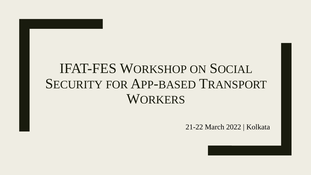### IFAT-FES WORKSHOP ON SOCIAL SECURITY FOR APP-BASED TRANSPORT **WORKERS**

21-22 March 2022 | Kolkata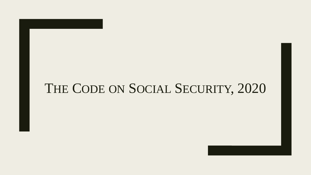#### THE CODE ON SOCIAL SECURITY, 2020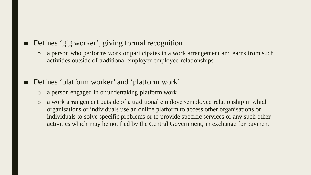#### ■ Defines 'gig worker', giving formal recognition

- o a person who performs work or participates in a work arrangement and earns from such activities outside of traditional employer-employee relationships
- Defines 'platform worker' and 'platform work'
	- o a person engaged in or undertaking platform work
	- o a work arrangement outside of a traditional employer-employee relationship in which organisations or individuals use an online platform to access other organisations or individuals to solve specific problems or to provide specific services or any such other activities which may be notified by the Central Government, in exchange for payment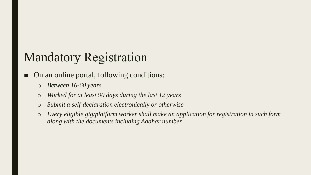### Mandatory Registration

On an online portal, following conditions:

- o *Between 16-60 years*
- o *Worked for at least 90 days during the last 12 years*
- o *Submit a self-declaration electronically or otherwise*
- o *Every eligible gig/platform worker shall make an application for registration in such form along with the documents including Aadhar number*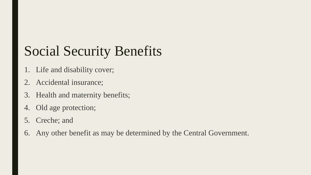# Social Security Benefits

- 1. Life and disability cover;
- 2. Accidental insurance;
- 3. Health and maternity benefits;
- 4. Old age protection;
- 5. Creche; and
- 6. Any other benefit as may be determined by the Central Government.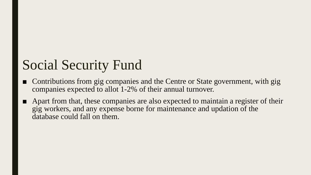## Social Security Fund

- Contributions from gig companies and the Centre or State government, with gig companies expected to allot 1-2% of their annual turnover.
- Apart from that, these companies are also expected to maintain a register of their gig workers, and any expense borne for maintenance and updation of the database could fall on them.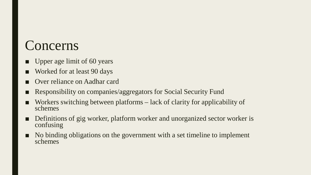#### Concerns

- Upper age limit of 60 years
- Worked for at least 90 days
- Over reliance on Aadhar card
- Responsibility on companies/aggregators for Social Security Fund
- Workers switching between platforms lack of clarity for applicability of schemes
- Definitions of gig worker, platform worker and unorganized sector worker is confusing
- No binding obligations on the government with a set timeline to implement schemes